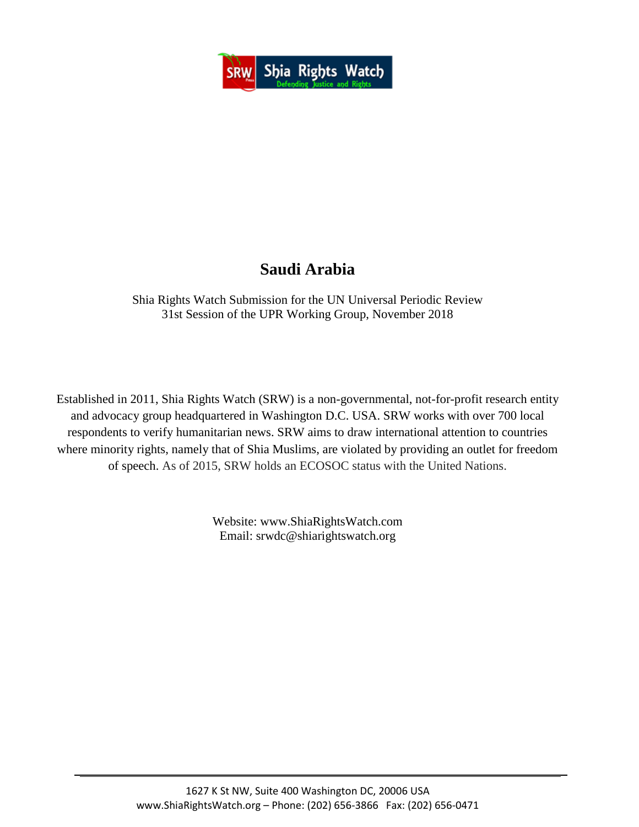

# **Saudi Arabia**

Shia Rights Watch Submission for the UN Universal Periodic Review 31st Session of the UPR Working Group, November 2018

Established in 2011, Shia Rights Watch (SRW) is a non-governmental, not-for-profit research entity and advocacy group headquartered in Washington D.C. USA. SRW works with over 700 local respondents to verify humanitarian news. SRW aims to draw international attention to countries where minority rights, namely that of Shia Muslims, are violated by providing an outlet for freedom of speech. As of 2015, SRW holds an ECOSOC status with the United Nations.

> Website: www.ShiaRightsWatch.com Email: srwdc@shiarightswatch.org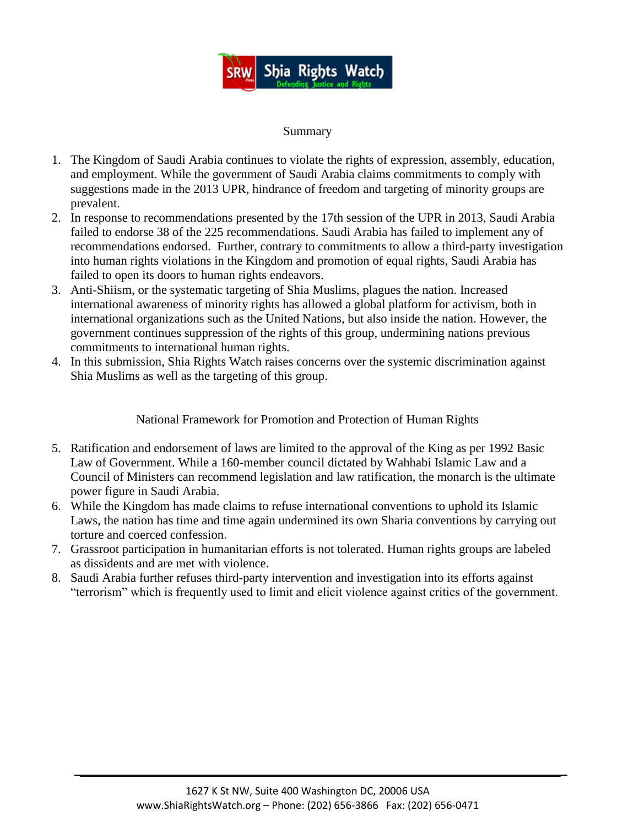

#### Summary

- 1. The Kingdom of Saudi Arabia continues to violate the rights of expression, assembly, education, and employment. While the government of Saudi Arabia claims commitments to comply with suggestions made in the 2013 UPR, hindrance of freedom and targeting of minority groups are prevalent.
- 2. In response to recommendations presented by the 17th session of the UPR in 2013, Saudi Arabia failed to endorse 38 of the 225 recommendations. Saudi Arabia has failed to implement any of recommendations endorsed. Further, contrary to commitments to allow a third-party investigation into human rights violations in the Kingdom and promotion of equal rights, Saudi Arabia has failed to open its doors to human rights endeavors.
- 3. Anti-Shiism, or the systematic targeting of Shia Muslims, plagues the nation. Increased international awareness of minority rights has allowed a global platform for activism, both in international organizations such as the United Nations, but also inside the nation. However, the government continues suppression of the rights of this group, undermining nations previous commitments to international human rights.
- 4. In this submission, Shia Rights Watch raises concerns over the systemic discrimination against Shia Muslims as well as the targeting of this group.

National Framework for Promotion and Protection of Human Rights

- 5. Ratification and endorsement of laws are limited to the approval of the King as per 1992 Basic Law of Government. While a 160-member council dictated by Wahhabi Islamic Law and a Council of Ministers can recommend legislation and law ratification, the monarch is the ultimate power figure in Saudi Arabia.
- 6. While the Kingdom has made claims to refuse international conventions to uphold its Islamic Laws, the nation has time and time again undermined its own Sharia conventions by carrying out torture and coerced confession.
- 7. Grassroot participation in humanitarian efforts is not tolerated. Human rights groups are labeled as dissidents and are met with violence.
- 8. Saudi Arabia further refuses third-party intervention and investigation into its efforts against "terrorism" which is frequently used to limit and elicit violence against critics of the government.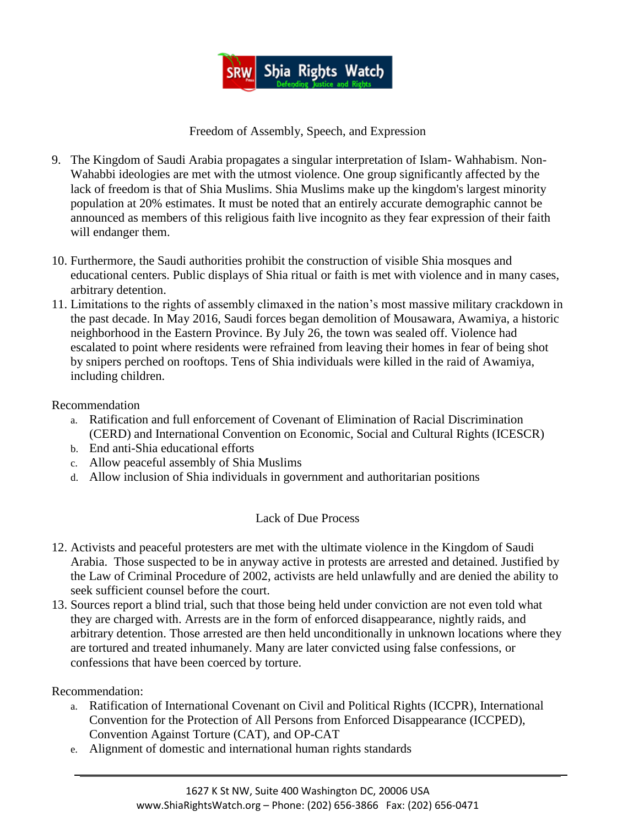

Freedom of Assembly, Speech, and Expression

- 9. The Kingdom of Saudi Arabia propagates a singular interpretation of Islam- Wahhabism. Non-Wahabbi ideologies are met with the utmost violence. One group significantly affected by the lack of freedom is that of Shia Muslims. Shia Muslims make up the kingdom's largest minority population at 20% estimates. It must be noted that an entirely accurate demographic cannot be announced as members of this religious faith live incognito as they fear expression of their faith will endanger them.
- 10. Furthermore, the Saudi authorities prohibit the construction of visible Shia mosques and educational centers. Public displays of Shia ritual or faith is met with violence and in many cases, arbitrary detention.
- 11. Limitations to the rights of assembly climaxed in the nation's most massive military crackdown in the past decade. In May 2016, Saudi forces began demolition of Mousawara, Awamiya, a historic neighborhood in the Eastern Province. By July 26, the town was sealed off. Violence had escalated to point where residents were refrained from leaving their homes in fear of being shot by snipers perched on rooftops. Tens of Shia individuals were killed in the raid of Awamiya, including children.

### Recommendation

- a. Ratification and full enforcement of Covenant of Elimination of Racial Discrimination (CERD) and International Convention on Economic, Social and Cultural Rights (ICESCR)
- b. End anti-Shia educational efforts
- c. Allow peaceful assembly of Shia Muslims
- d. Allow inclusion of Shia individuals in government and authoritarian positions

## Lack of Due Process

- 12. Activists and peaceful protesters are met with the ultimate violence in the Kingdom of Saudi Arabia. Those suspected to be in anyway active in protests are arrested and detained. Justified by the Law of Criminal Procedure of 2002, activists are held unlawfully and are denied the ability to seek sufficient counsel before the court.
- 13. Sources report a blind trial, such that those being held under conviction are not even told what they are charged with. Arrests are in the form of enforced disappearance, nightly raids, and arbitrary detention. Those arrested are then held unconditionally in unknown locations where they are tortured and treated inhumanely. Many are later convicted using false confessions, or confessions that have been coerced by torture.

Recommendation:

- a. Ratification of International Covenant on Civil and Political Rights (ICCPR), International Convention for the Protection of All Persons from Enforced Disappearance (ICCPED), Convention Against Torture (CAT), and OP-CAT
- e. Alignment of domestic and international human rights standards